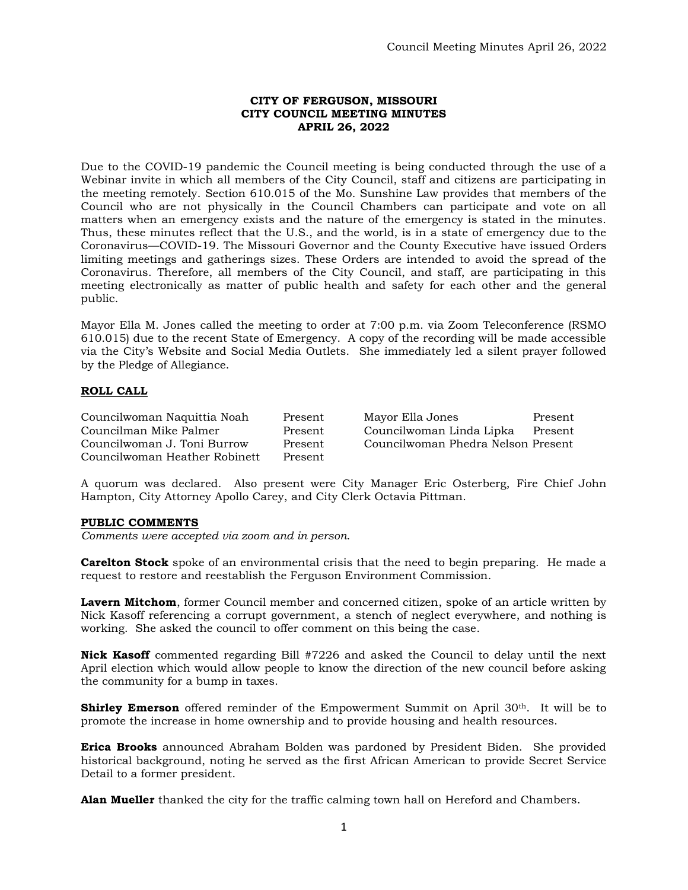# **CITY OF FERGUSON, MISSOURI CITY COUNCIL MEETING MINUTES APRIL 26, 2022**

Due to the COVID-19 pandemic the Council meeting is being conducted through the use of a Webinar invite in which all members of the City Council, staff and citizens are participating in the meeting remotely. Section 610.015 of the Mo. Sunshine Law provides that members of the Council who are not physically in the Council Chambers can participate and vote on all matters when an emergency exists and the nature of the emergency is stated in the minutes. Thus, these minutes reflect that the U.S., and the world, is in a state of emergency due to the Coronavirus—COVID-19. The Missouri Governor and the County Executive have issued Orders limiting meetings and gatherings sizes. These Orders are intended to avoid the spread of the Coronavirus. Therefore, all members of the City Council, and staff, are participating in this meeting electronically as matter of public health and safety for each other and the general public.

Mayor Ella M. Jones called the meeting to order at 7:00 p.m. via Zoom Teleconference (RSMO 610.015) due to the recent State of Emergency. A copy of the recording will be made accessible via the City's Website and Social Media Outlets. She immediately led a silent prayer followed by the Pledge of Allegiance.

# **ROLL CALL**

| Councilwoman Naquittia Noah   | Present | Mayor Ella Jones                   | Present |
|-------------------------------|---------|------------------------------------|---------|
| Councilman Mike Palmer        | Present | Councilwoman Linda Lipka           | Present |
| Councilwoman J. Toni Burrow   | Present | Councilwoman Phedra Nelson Present |         |
| Councilwoman Heather Robinett | Present |                                    |         |

A quorum was declared. Also present were City Manager Eric Osterberg, Fire Chief John Hampton, City Attorney Apollo Carey, and City Clerk Octavia Pittman.

# **PUBLIC COMMENTS**

*Comments were accepted via zoom and in person.* 

**Carelton Stock** spoke of an environmental crisis that the need to begin preparing. He made a request to restore and reestablish the Ferguson Environment Commission.

**Lavern Mitchom**, former Council member and concerned citizen, spoke of an article written by Nick Kasoff referencing a corrupt government, a stench of neglect everywhere, and nothing is working. She asked the council to offer comment on this being the case.

**Nick Kasoff** commented regarding Bill #7226 and asked the Council to delay until the next April election which would allow people to know the direction of the new council before asking the community for a bump in taxes.

**Shirley Emerson** offered reminder of the Empowerment Summit on April 30<sup>th</sup>. It will be to promote the increase in home ownership and to provide housing and health resources.

**Erica Brooks** announced Abraham Bolden was pardoned by President Biden. She provided historical background, noting he served as the first African American to provide Secret Service Detail to a former president.

**Alan Mueller** thanked the city for the traffic calming town hall on Hereford and Chambers.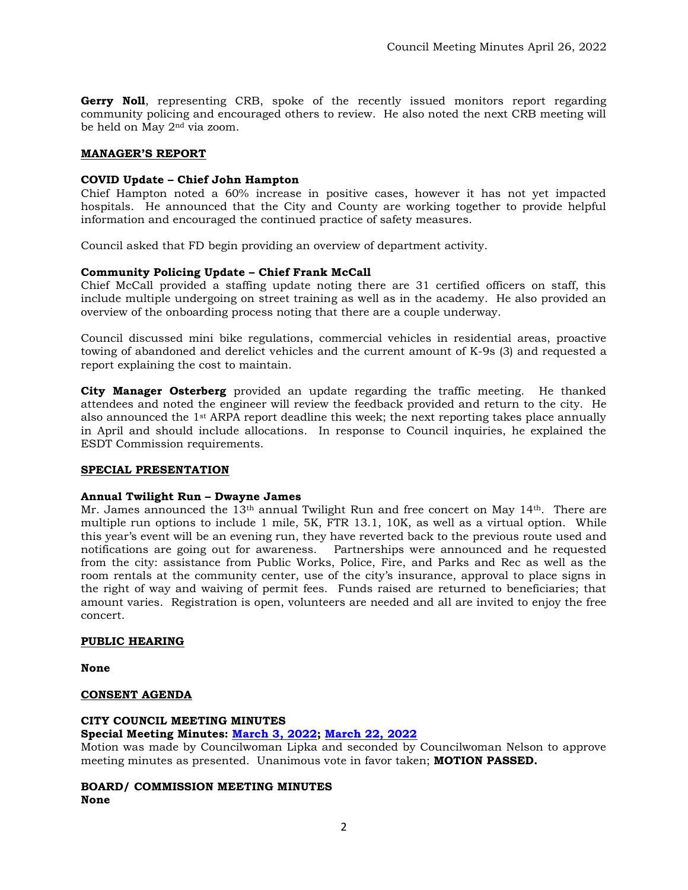**Gerry Noll**, representing CRB, spoke of the recently issued monitors report regarding community policing and encouraged others to review. He also noted the next CRB meeting will be held on May 2nd via zoom.

# **MANAGER'S REPORT**

# **COVID Update – Chief John Hampton**

Chief Hampton noted a 60% increase in positive cases, however it has not yet impacted hospitals. He announced that the City and County are working together to provide helpful information and encouraged the continued practice of safety measures.

Council asked that FD begin providing an overview of department activity.

# **Community Policing Update – Chief Frank McCall**

Chief McCall provided a staffing update noting there are 31 certified officers on staff, this include multiple undergoing on street training as well as in the academy. He also provided an overview of the onboarding process noting that there are a couple underway.

Council discussed mini bike regulations, commercial vehicles in residential areas, proactive towing of abandoned and derelict vehicles and the current amount of K-9s (3) and requested a report explaining the cost to maintain.

**City Manager Osterberg** provided an update regarding the traffic meeting. He thanked attendees and noted the engineer will review the feedback provided and return to the city. He also announced the 1st ARPA report deadline this week; the next reporting takes place annually in April and should include allocations. In response to Council inquiries, he explained the ESDT Commission requirements.

# **SPECIAL PRESENTATION**

# **Annual Twilight Run – Dwayne James**

Mr. James announced the 13<sup>th</sup> annual Twilight Run and free concert on May 14<sup>th</sup>. There are multiple run options to include 1 mile, 5K, FTR 13.1, 10K, as well as a virtual option. While this year's event will be an evening run, they have reverted back to the previous route used and notifications are going out for awareness. Partnerships were announced and he requested from the city: assistance from Public Works, Police, Fire, and Parks and Rec as well as the room rentals at the community center, use of the city's insurance, approval to place signs in the right of way and waiving of permit fees. Funds raised are returned to beneficiaries; that amount varies. Registration is open, volunteers are needed and all are invited to enjoy the free concert.

# **PUBLIC HEARING**

**None**

#### **CONSENT AGENDA**

# **CITY COUNCIL MEETING MINUTES Special Meeting Minutes: [March 3, 2022;](http://www.fergusoncity.com/DocumentCenter/View/5797/Council-special-meeting-minutes-030322) [March 22, 2022](http://www.fergusoncity.com/DocumentCenter/View/5798/Council-special-meeting-minutes-032222)**

Motion was made by Councilwoman Lipka and seconded by Councilwoman Nelson to approve meeting minutes as presented. Unanimous vote in favor taken; **MOTION PASSED.** 

# **BOARD/ COMMISSION MEETING MINUTES None**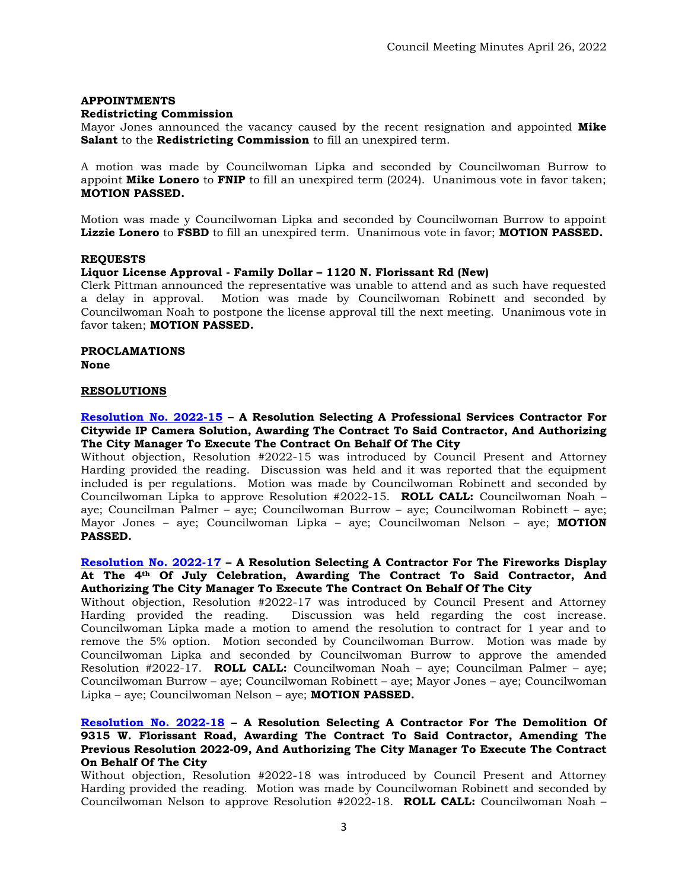#### **APPOINTMENTS**

#### **Redistricting Commission**

Mayor Jones announced the vacancy caused by the recent resignation and appointed **Mike Salant** to the **Redistricting Commission** to fill an unexpired term.

A motion was made by Councilwoman Lipka and seconded by Councilwoman Burrow to appoint **Mike Lonero** to **FNIP** to fill an unexpired term (2024). Unanimous vote in favor taken; **MOTION PASSED.** 

Motion was made y Councilwoman Lipka and seconded by Councilwoman Burrow to appoint **Lizzie Lonero** to **FSBD** to fill an unexpired term. Unanimous vote in favor; **MOTION PASSED.** 

#### **REQUESTS**

#### **Liquor License Approval - Family Dollar – 1120 N. Florissant Rd (New)**

Clerk Pittman announced the representative was unable to attend and as such have requested a delay in approval. Motion was made by Councilwoman Robinett and seconded by Councilwoman Noah to postpone the license approval till the next meeting. Unanimous vote in favor taken; **MOTION PASSED.** 

**PROCLAMATIONS None**

#### **RESOLUTIONS**

#### **[Resolution No. 2022-15](https://www.fergusoncity.com/DocumentCenter/View/5780/Resolution-No-2022-15-Citywide-IP-Camera-Solution) – A Resolution Selecting A Professional Services Contractor For Citywide IP Camera Solution, Awarding The Contract To Said Contractor, And Authorizing The City Manager To Execute The Contract On Behalf Of The City**

Without objection, Resolution #2022-15 was introduced by Council Present and Attorney Harding provided the reading. Discussion was held and it was reported that the equipment included is per regulations. Motion was made by Councilwoman Robinett and seconded by Councilwoman Lipka to approve Resolution #2022-15. **ROLL CALL:** Councilwoman Noah – aye; Councilman Palmer – aye; Councilwoman Burrow – aye; Councilwoman Robinett – aye; Mayor Jones – aye; Councilwoman Lipka – aye; Councilwoman Nelson – aye; **MOTION PASSED.**

#### **[Resolution No. 2022-17](https://www.fergusoncity.com/DocumentCenter/View/5794/Resolution-No-2022-17-Fireworks---JM-Display) – A Resolution Selecting A Contractor For The Fireworks Display At The 4th Of July Celebration, Awarding The Contract To Said Contractor, And Authorizing The City Manager To Execute The Contract On Behalf Of The City**

Without objection, Resolution #2022-17 was introduced by Council Present and Attorney Harding provided the reading. Discussion was held regarding the cost increase. Councilwoman Lipka made a motion to amend the resolution to contract for 1 year and to remove the 5% option. Motion seconded by Councilwoman Burrow. Motion was made by Councilwoman Lipka and seconded by Councilwoman Burrow to approve the amended Resolution #2022-17. **ROLL CALL:** Councilwoman Noah – aye; Councilman Palmer – aye; Councilwoman Burrow – aye; Councilwoman Robinett – aye; Mayor Jones – aye; Councilwoman Lipka – aye; Councilwoman Nelson – aye; **MOTION PASSED.**

# **[Resolution No. 2022-18](https://www.fergusoncity.com/DocumentCenter/View/5795/Resolution-No-2022-18-9315-W-Florissant-Rd-Demo-amended) – A Resolution Selecting A Contractor For The Demolition Of 9315 W. Florissant Road, Awarding The Contract To Said Contractor, Amending The Previous Resolution 2022-09, And Authorizing The City Manager To Execute The Contract On Behalf Of The City**

Without objection, Resolution #2022-18 was introduced by Council Present and Attorney Harding provided the reading. Motion was made by Councilwoman Robinett and seconded by Councilwoman Nelson to approve Resolution #2022-18. **ROLL CALL:** Councilwoman Noah –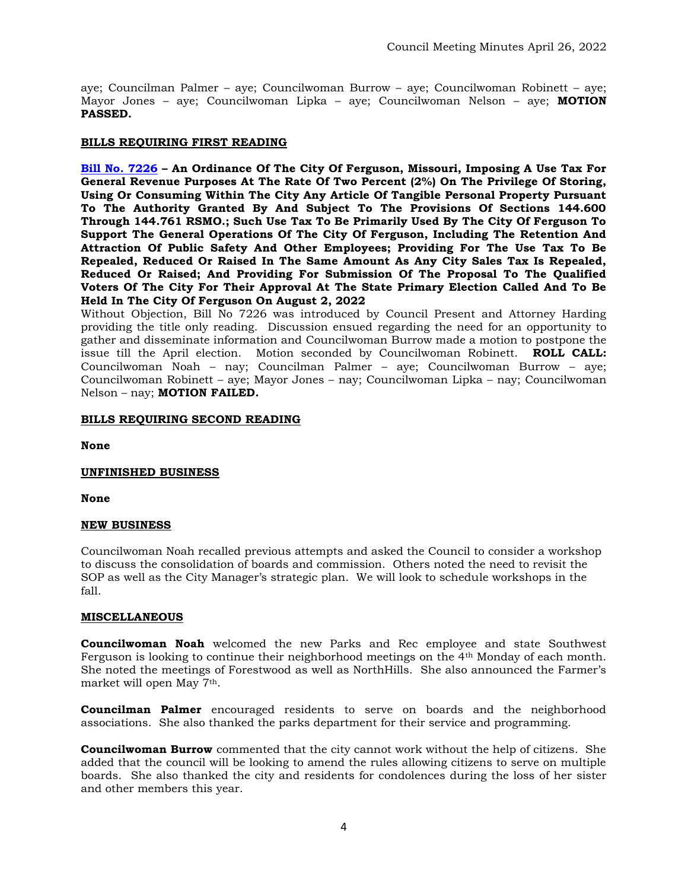aye; Councilman Palmer – aye; Councilwoman Burrow – aye; Councilwoman Robinett – aye; Mayor Jones – aye; Councilwoman Lipka – aye; Councilwoman Nelson – aye; **MOTION PASSED.**

# **BILLS REQUIRING FIRST READING**

**[Bill No. 7226](https://www.fergusoncity.com/DocumentCenter/View/5796/Bill-No-7226-2022-xxxx-PROP-U-local-use-tax) – An Ordinance Of The City Of Ferguson, Missouri, Imposing A Use Tax For General Revenue Purposes At The Rate Of Two Percent (2%) On The Privilege Of Storing, Using Or Consuming Within The City Any Article Of Tangible Personal Property Pursuant To The Authority Granted By And Subject To The Provisions Of Sections 144.600 Through 144.761 RSMO.; Such Use Tax To Be Primarily Used By The City Of Ferguson To Support The General Operations Of The City Of Ferguson, Including The Retention And Attraction Of Public Safety And Other Employees; Providing For The Use Tax To Be Repealed, Reduced Or Raised In The Same Amount As Any City Sales Tax Is Repealed, Reduced Or Raised; And Providing For Submission Of The Proposal To The Qualified Voters Of The City For Their Approval At The State Primary Election Called And To Be Held In The City Of Ferguson On August 2, 2022**

Without Objection, Bill No 7226 was introduced by Council Present and Attorney Harding providing the title only reading. Discussion ensued regarding the need for an opportunity to gather and disseminate information and Councilwoman Burrow made a motion to postpone the issue till the April election. Motion seconded by Councilwoman Robinett. **ROLL CALL:**  Councilwoman Noah – nay; Councilman Palmer – aye; Councilwoman Burrow – aye; Councilwoman Robinett – aye; Mayor Jones – nay; Councilwoman Lipka – nay; Councilwoman Nelson – nay; **MOTION FAILED.**

# **BILLS REQUIRING SECOND READING**

**None**

# **UNFINISHED BUSINESS**

**None**

# **NEW BUSINESS**

Councilwoman Noah recalled previous attempts and asked the Council to consider a workshop to discuss the consolidation of boards and commission. Others noted the need to revisit the SOP as well as the City Manager's strategic plan. We will look to schedule workshops in the fall.

# **MISCELLANEOUS**

**Councilwoman Noah** welcomed the new Parks and Rec employee and state Southwest Ferguson is looking to continue their neighborhood meetings on the 4th Monday of each month. She noted the meetings of Forestwood as well as NorthHills. She also announced the Farmer's market will open May 7th.

**Councilman Palmer** encouraged residents to serve on boards and the neighborhood associations. She also thanked the parks department for their service and programming.

**Councilwoman Burrow** commented that the city cannot work without the help of citizens. She added that the council will be looking to amend the rules allowing citizens to serve on multiple boards. She also thanked the city and residents for condolences during the loss of her sister and other members this year.